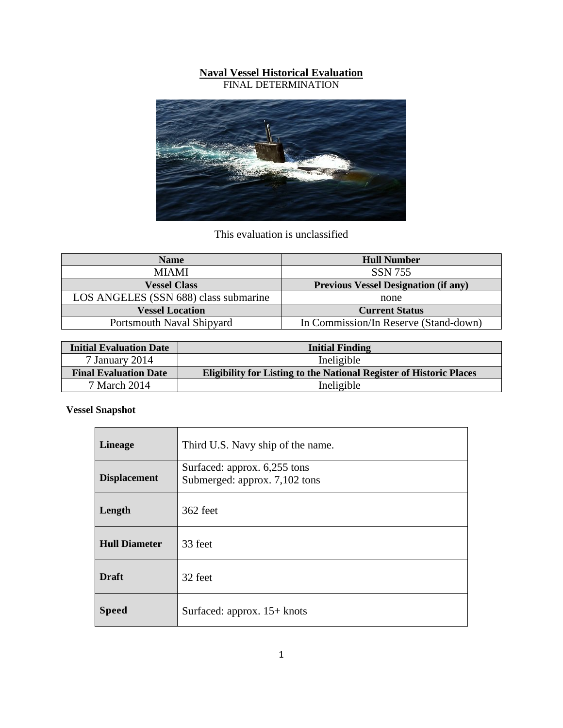## **Naval Vessel Historical Evaluation**

FINAL DETERMINATION



This evaluation is unclassified

| <b>Name</b>                           | <b>Hull Number</b>                          |
|---------------------------------------|---------------------------------------------|
| <b>MIAMI</b>                          | <b>SSN 755</b>                              |
| <b>Vessel Class</b>                   | <b>Previous Vessel Designation (if any)</b> |
| LOS ANGELES (SSN 688) class submarine | none                                        |
| <b>Vessel Location</b>                | <b>Current Status</b>                       |
| Portsmouth Naval Shipyard             | In Commission/In Reserve (Stand-down)       |

| <b>Initial Evaluation Date</b> | <b>Initial Finding</b>                                                     |  |
|--------------------------------|----------------------------------------------------------------------------|--|
| 7 January 2014                 | Ineligible                                                                 |  |
| <b>Final Evaluation Date</b>   | <b>Eligibility for Listing to the National Register of Historic Places</b> |  |
| 7 March 2014                   | Ineligible                                                                 |  |

**Vessel Snapshot**

| <b>Lineage</b>       | Third U.S. Navy ship of the name.                             |
|----------------------|---------------------------------------------------------------|
| <b>Displacement</b>  | Surfaced: approx. 6,255 tons<br>Submerged: approx. 7,102 tons |
| Length               | 362 feet                                                      |
| <b>Hull Diameter</b> | 33 feet                                                       |
| <b>Draft</b>         | 32 feet                                                       |
| <b>Speed</b>         | Surfaced: approx. $15+$ knots                                 |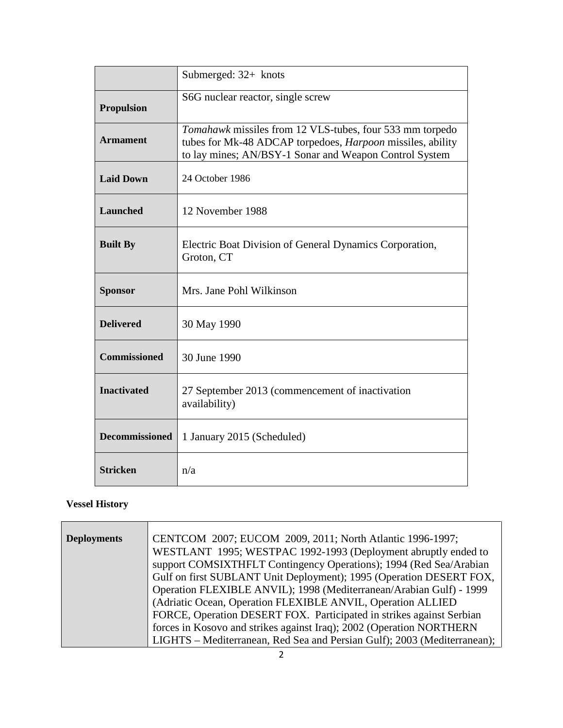|                       | Submerged: $32+$ knots                                                                                                                                                           |  |
|-----------------------|----------------------------------------------------------------------------------------------------------------------------------------------------------------------------------|--|
| <b>Propulsion</b>     | S6G nuclear reactor, single screw                                                                                                                                                |  |
| <b>Armament</b>       | Tomahawk missiles from 12 VLS-tubes, four 533 mm torpedo<br>tubes for Mk-48 ADCAP torpedoes, Harpoon missiles, ability<br>to lay mines; AN/BSY-1 Sonar and Weapon Control System |  |
| <b>Laid Down</b>      | 24 October 1986                                                                                                                                                                  |  |
| Launched              | 12 November 1988                                                                                                                                                                 |  |
| <b>Built By</b>       | Electric Boat Division of General Dynamics Corporation,<br>Groton, CT                                                                                                            |  |
| <b>Sponsor</b>        | Mrs. Jane Pohl Wilkinson                                                                                                                                                         |  |
| <b>Delivered</b>      | 30 May 1990                                                                                                                                                                      |  |
| <b>Commissioned</b>   | 30 June 1990                                                                                                                                                                     |  |
| <b>Inactivated</b>    | 27 September 2013 (commencement of inactivation<br>availability)                                                                                                                 |  |
| <b>Decommissioned</b> | 1 January 2015 (Scheduled)                                                                                                                                                       |  |
| <b>Stricken</b>       | n/a                                                                                                                                                                              |  |

## **Vessel History**

| <b>Deployments</b> | CENTCOM 2007; EUCOM 2009, 2011; North Atlantic 1996-1997;                |  |
|--------------------|--------------------------------------------------------------------------|--|
|                    | WESTLANT 1995; WESTPAC 1992-1993 (Deployment abruptly ended to           |  |
|                    | support COMSIXTHFLT Contingency Operations); 1994 (Red Sea/Arabian       |  |
|                    | Gulf on first SUBLANT Unit Deployment); 1995 (Operation DESERT FOX,      |  |
|                    | Operation FLEXIBLE ANVIL); 1998 (Mediterranean/Arabian Gulf) - 1999      |  |
|                    | (Adriatic Ocean, Operation FLEXIBLE ANVIL, Operation ALLIED              |  |
|                    | FORCE, Operation DESERT FOX. Participated in strikes against Serbian     |  |
|                    | forces in Kosovo and strikes against Iraq); 2002 (Operation NORTHERN     |  |
|                    | LIGHTS – Mediterranean, Red Sea and Persian Gulf); 2003 (Mediterranean); |  |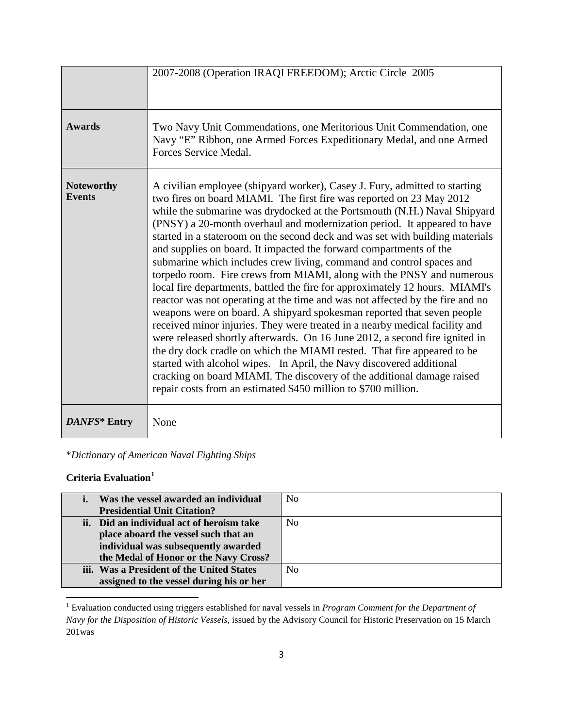|                                    | 2007-2008 (Operation IRAQI FREEDOM); Arctic Circle 2005                                                                                                                                                                                                                                                                                                                                                                                                                                                                                                                                                                                                                                                                                                                                                                                                                                                                                                                                                                                                                                                                                                                                                                                                                                                                     |
|------------------------------------|-----------------------------------------------------------------------------------------------------------------------------------------------------------------------------------------------------------------------------------------------------------------------------------------------------------------------------------------------------------------------------------------------------------------------------------------------------------------------------------------------------------------------------------------------------------------------------------------------------------------------------------------------------------------------------------------------------------------------------------------------------------------------------------------------------------------------------------------------------------------------------------------------------------------------------------------------------------------------------------------------------------------------------------------------------------------------------------------------------------------------------------------------------------------------------------------------------------------------------------------------------------------------------------------------------------------------------|
| <b>Awards</b>                      | Two Navy Unit Commendations, one Meritorious Unit Commendation, one<br>Navy "E" Ribbon, one Armed Forces Expeditionary Medal, and one Armed<br>Forces Service Medal.                                                                                                                                                                                                                                                                                                                                                                                                                                                                                                                                                                                                                                                                                                                                                                                                                                                                                                                                                                                                                                                                                                                                                        |
| <b>Noteworthy</b><br><b>Events</b> | A civilian employee (shipyard worker), Casey J. Fury, admitted to starting<br>two fires on board MIAMI. The first fire was reported on 23 May 2012<br>while the submarine was drydocked at the Portsmouth (N.H.) Naval Shipyard<br>(PNSY) a 20-month overhaul and modernization period. It appeared to have<br>started in a stateroom on the second deck and was set with building materials<br>and supplies on board. It impacted the forward compartments of the<br>submarine which includes crew living, command and control spaces and<br>torpedo room. Fire crews from MIAMI, along with the PNSY and numerous<br>local fire departments, battled the fire for approximately 12 hours. MIAMI's<br>reactor was not operating at the time and was not affected by the fire and no<br>weapons were on board. A shipyard spokesman reported that seven people<br>received minor injuries. They were treated in a nearby medical facility and<br>were released shortly afterwards. On 16 June 2012, a second fire ignited in<br>the dry dock cradle on which the MIAMI rested. That fire appeared to be<br>started with alcohol wipes. In April, the Navy discovered additional<br>cracking on board MIAMI. The discovery of the additional damage raised<br>repair costs from an estimated \$450 million to \$700 million. |
| DANFS* Entry                       | None                                                                                                                                                                                                                                                                                                                                                                                                                                                                                                                                                                                                                                                                                                                                                                                                                                                                                                                                                                                                                                                                                                                                                                                                                                                                                                                        |

\**Dictionary of American Naval Fighting Ships*

## **Criteria Evaluation[1](#page-2-0)**

 $\overline{a}$ 

| Was the vessel awarded an individual      | No             |
|-------------------------------------------|----------------|
| <b>Presidential Unit Citation?</b>        |                |
| ii. Did an individual act of heroism take | N <sub>0</sub> |
| place aboard the vessel such that an      |                |
| individual was subsequently awarded       |                |
| the Medal of Honor or the Navy Cross?     |                |
| iii. Was a President of the United States | N <sub>0</sub> |
| assigned to the vessel during his or her  |                |

<span id="page-2-0"></span><sup>1</sup> Evaluation conducted using triggers established for naval vessels in *Program Comment for the Department of Navy for the Disposition of Historic Vessels*, issued by the Advisory Council for Historic Preservation on 15 March 201was